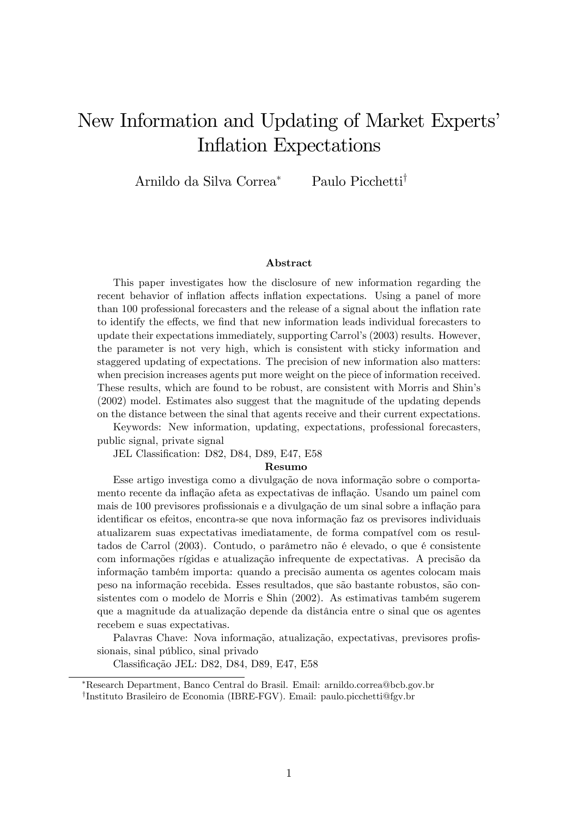# New Information and Updating of Market Experts' Inflation Expectations

Arnildo da Silva Correa<sup>\*</sup> Paulo Picchetti<sup>†</sup>

#### Abstract

This paper investigates how the disclosure of new information regarding the recent behavior of inflation affects inflation expectations. Using a panel of more than 100 professional forecasters and the release of a signal about the inflation rate to identify the effects, we find that new information leads individual forecasters to update their expectations immediately, supporting Carrolís (2003) results. However, the parameter is not very high, which is consistent with sticky information and staggered updating of expectations. The precision of new information also matters: when precision increases agents put more weight on the piece of information received. These results, which are found to be robust, are consistent with Morris and Shinís (2002) model. Estimates also suggest that the magnitude of the updating depends on the distance between the sinal that agents receive and their current expectations.

Keywords: New information, updating, expectations, professional forecasters, public signal, private signal

JEL Classification: D82, D84, D89, E47, E58

#### Resumo

Esse artigo investiga como a divulgação de nova informação sobre o comportamento recente da inflação afeta as expectativas de inflação. Usando um painel com mais de 100 previsores profissionais e a divulgação de um sinal sobre a inflação para identificar os efeitos, encontra-se que nova informação faz os previsores individuais atualizarem suas expectativas imediatamente, de forma compatível com os resultados de Carrol (2003). Contudo, o parâmetro não é elevado, o que é consistente com informações rígidas e atualização infrequente de expectativas. A precisão da informação também importa: quando a precisão aumenta os agentes colocam mais peso na informação recebida. Esses resultados, que são bastante robustos, são consistentes com o modelo de Morris e Shin (2002). As estimativas também sugerem que a magnitude da atualização depende da distância entre o sinal que os agentes recebem e suas expectativas.

Palavras Chave: Nova informação, atualização, expectativas, previsores profissionais, sinal público, sinal privado

Classificação JEL: D82, D84, D89, E47, E58

Research Department, Banco Central do Brasil. Email: arnildo.correa@bcb.gov.br <sup>†</sup>Instituto Brasileiro de Economia (IBRE-FGV). Email: paulo.picchetti@fgv.br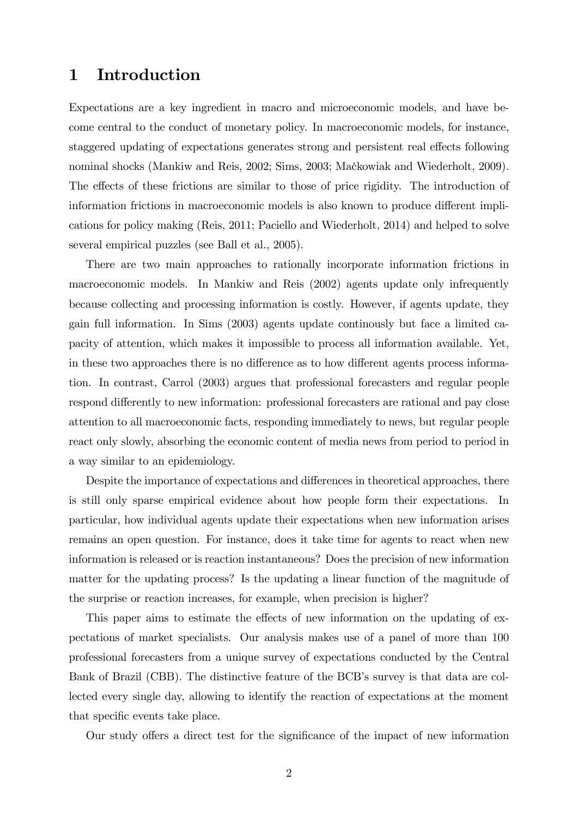### 1 Introduction

Expectations are a key ingredient in macro and microeconomic models, and have become central to the conduct of monetary policy. In macroeconomic models, for instance, staggered updating of expectations generates strong and persistent real effects following nominal shocks (Mankiw and Reis, 2002; Sims, 2003; Maćkowiak and Wiederholt, 2009). The effects of these frictions are similar to those of price rigidity. The introduction of information frictions in macroeconomic models is also known to produce different implications for policy making (Reis, 2011; Paciello and Wiederholt, 2014) and helped to solve several empirical puzzles (see Ball et al., 2005).

There are two main approaches to rationally incorporate information frictions in macroeconomic models. In Mankiw and Reis (2002) agents update only infrequently because collecting and processing information is costly. However, if agents update, they gain full information. In Sims (2003) agents update continously but face a limited capacity of attention, which makes it impossible to process all information available. Yet, in these two approaches there is no difference as to how different agents process information. In contrast, Carrol (2003) argues that professional forecasters and regular people respond differently to new information: professional forecasters are rational and pay close attention to all macroeconomic facts, responding immediately to news, but regular people react only slowly, absorbing the economic content of media news from period to period in a way similar to an epidemiology.

Despite the importance of expectations and differences in theoretical approaches, there is still only sparse empirical evidence about how people form their expectations. In particular, how individual agents update their expectations when new information arises remains an open question. For instance, does it take time for agents to react when new information is released or is reaction instantaneous? Does the precision of new information matter for the updating process? Is the updating a linear function of the magnitude of the surprise or reaction increases, for example, when precision is higher?

This paper aims to estimate the effects of new information on the updating of expectations of market specialists. Our analysis makes use of a panel of more than 100 professional forecasters from a unique survey of expectations conducted by the Central Bank of Brazil (CBB). The distinctive feature of the BCB's survey is that data are collected every single day, allowing to identify the reaction of expectations at the moment that specific events take place.

Our study offers a direct test for the significance of the impact of new information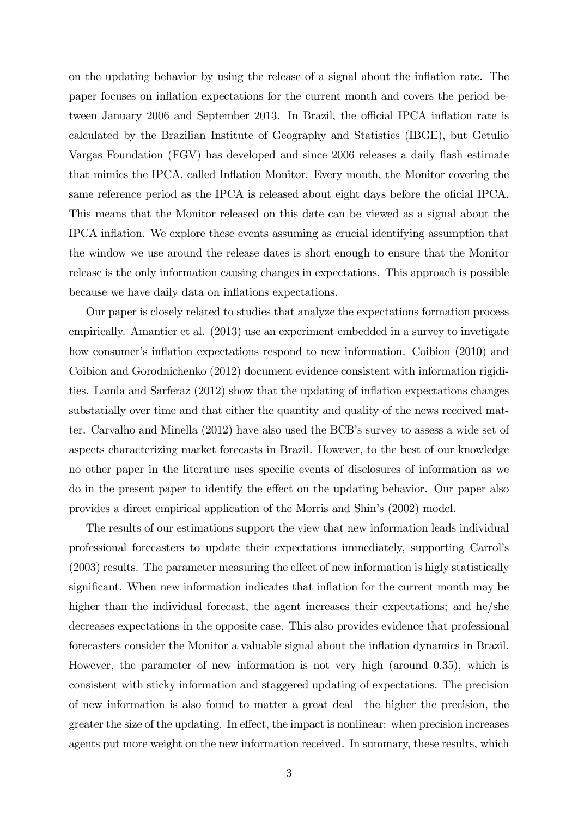on the updating behavior by using the release of a signal about the ináation rate. The paper focuses on ináation expectations for the current month and covers the period between January 2006 and September 2013. In Brazil, the official IPCA inflation rate is calculated by the Brazilian Institute of Geography and Statistics (IBGE), but Getulio Vargas Foundation (FGV) has developed and since 2006 releases a daily flash estimate that mimics the IPCA, called Inflation Monitor. Every month, the Monitor covering the same reference period as the IPCA is released about eight days before the oficial IPCA. This means that the Monitor released on this date can be viewed as a signal about the IPCA ináation. We explore these events assuming as crucial identifying assumption that the window we use around the release dates is short enough to ensure that the Monitor release is the only information causing changes in expectations. This approach is possible because we have daily data on inflations expectations.

Our paper is closely related to studies that analyze the expectations formation process empirically. Amantier et al. (2013) use an experiment embedded in a survey to invetigate how consumer's inflation expectations respond to new information. Coibion (2010) and Coibion and Gorodnichenko (2012) document evidence consistent with information rigidities. Lamla and Sarferaz (2012) show that the updating of inflation expectations changes substatially over time and that either the quantity and quality of the news received matter. Carvalho and Minella  $(2012)$  have also used the BCB's survey to assess a wide set of aspects characterizing market forecasts in Brazil. However, to the best of our knowledge no other paper in the literature uses specific events of disclosures of information as we do in the present paper to identify the effect on the updating behavior. Our paper also provides a direct empirical application of the Morris and Shinís (2002) model.

The results of our estimations support the view that new information leads individual professional forecasters to update their expectations immediately, supporting Carrolís  $(2003)$  results. The parameter measuring the effect of new information is higly statistically significant. When new information indicates that inflation for the current month may be higher than the individual forecast, the agent increases their expectations; and he/she decreases expectations in the opposite case. This also provides evidence that professional forecasters consider the Monitor a valuable signal about the inflation dynamics in Brazil. However, the parameter of new information is not very high (around 0.35), which is consistent with sticky information and staggered updating of expectations. The precision of new information is also found to matter a great deal—the higher the precision, the greater the size of the updating. In effect, the impact is nonlinear: when precision increases agents put more weight on the new information received. In summary, these results, which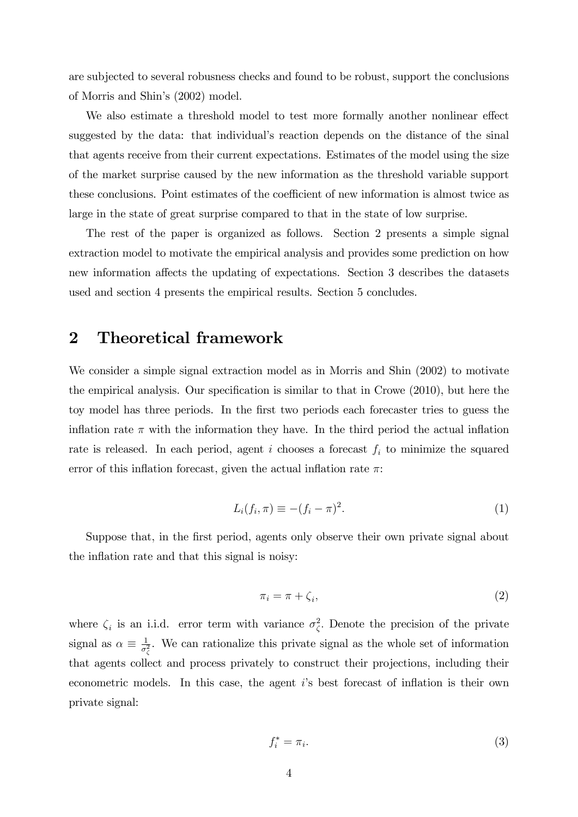are subjected to several robusness checks and found to be robust, support the conclusions of Morris and Shin's (2002) model.

We also estimate a threshold model to test more formally another nonlinear effect suggested by the data: that individual's reaction depends on the distance of the sinal that agents receive from their current expectations. Estimates of the model using the size of the market surprise caused by the new information as the threshold variable support these conclusions. Point estimates of the coefficient of new information is almost twice as large in the state of great surprise compared to that in the state of low surprise.

The rest of the paper is organized as follows. Section 2 presents a simple signal extraction model to motivate the empirical analysis and provides some prediction on how new information affects the updating of expectations. Section 3 describes the datasets used and section 4 presents the empirical results. Section 5 concludes.

## 2 Theoretical framework

We consider a simple signal extraction model as in Morris and Shin (2002) to motivate the empirical analysis. Our specification is similar to that in Crowe  $(2010)$ , but here the toy model has three periods. In the first two periods each forecaster tries to guess the inflation rate  $\pi$  with the information they have. In the third period the actual inflation rate is released. In each period, agent i chooses a forecast  $f_i$  to minimize the squared error of this inflation forecast, given the actual inflation rate  $\pi$ :

$$
L_i(f_i, \pi) \equiv -(f_i - \pi)^2. \tag{1}
$$

Suppose that, in the first period, agents only observe their own private signal about the inflation rate and that this signal is noisy:

$$
\pi_i = \pi + \zeta_i,\tag{2}
$$

where  $\zeta_i$  is an i.i.d. error term with variance  $\sigma_{\zeta}^2$ . Denote the precision of the private signal as  $\alpha \equiv \frac{1}{\sigma_i^2}$  $\frac{1}{\sigma_{\zeta}^2}$ . We can rationalize this private signal as the whole set of information that agents collect and process privately to construct their projections, including their econometric models. In this case, the agent  $i$ 's best forecast of inflation is their own private signal:

$$
f_i^* = \pi_i. \tag{3}
$$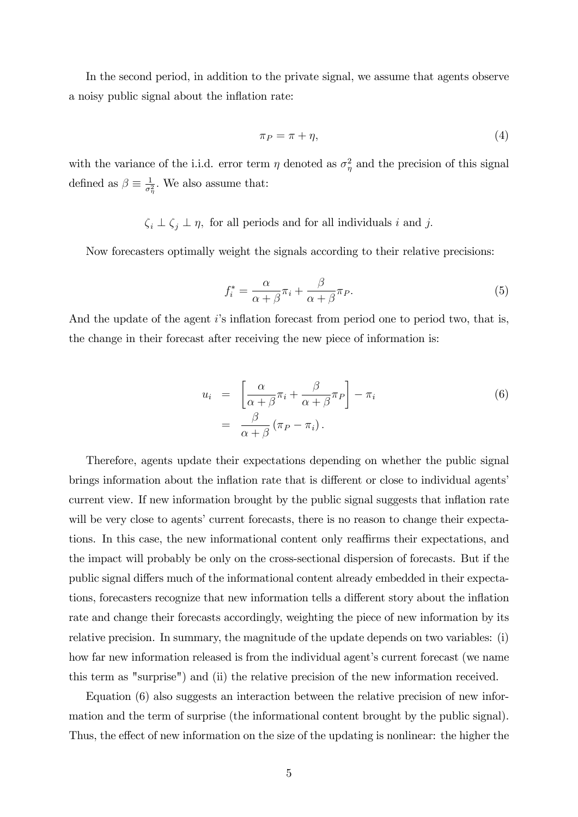In the second period, in addition to the private signal, we assume that agents observe a noisy public signal about the inflation rate:

$$
\pi_P = \pi + \eta,\tag{4}
$$

with the variance of the i.i.d. error term  $\eta$  denoted as  $\sigma_{\eta}^2$  and the precision of this signal defined as  $\beta \equiv \frac{1}{\sigma_i^2}$  $\frac{1}{\sigma_{\eta}^2}$ . We also assume that:

 $\zeta_i \perp \zeta_j \perp \eta$ , for all periods and for all individuals i and j.

Now forecasters optimally weight the signals according to their relative precisions:

$$
f_i^* = \frac{\alpha}{\alpha + \beta} \pi_i + \frac{\beta}{\alpha + \beta} \pi_P.
$$
 (5)

And the update of the agent  $i$ 's inflation forecast from period one to period two, that is, the change in their forecast after receiving the new piece of information is:

$$
u_i = \left[\frac{\alpha}{\alpha + \beta}\pi_i + \frac{\beta}{\alpha + \beta}\pi_P\right] - \pi_i
$$
  
= 
$$
\frac{\beta}{\alpha + \beta}(\pi_P - \pi_i).
$$
 (6)

Therefore, agents update their expectations depending on whether the public signal brings information about the inflation rate that is different or close to individual agents' current view. If new information brought by the public signal suggests that inflation rate will be very close to agents' current forecasts, there is no reason to change their expectations. In this case, the new informational content only reaffirms their expectations, and the impact will probably be only on the cross-sectional dispersion of forecasts. But if the public signal differs much of the informational content already embedded in their expectations, forecasters recognize that new information tells a different story about the inflation rate and change their forecasts accordingly, weighting the piece of new information by its relative precision. In summary, the magnitude of the update depends on two variables: (i) how far new information released is from the individual agent's current forecast (we name this term as "surprise") and (ii) the relative precision of the new information received.

Equation (6) also suggests an interaction between the relative precision of new information and the term of surprise (the informational content brought by the public signal). Thus, the effect of new information on the size of the updating is nonlinear: the higher the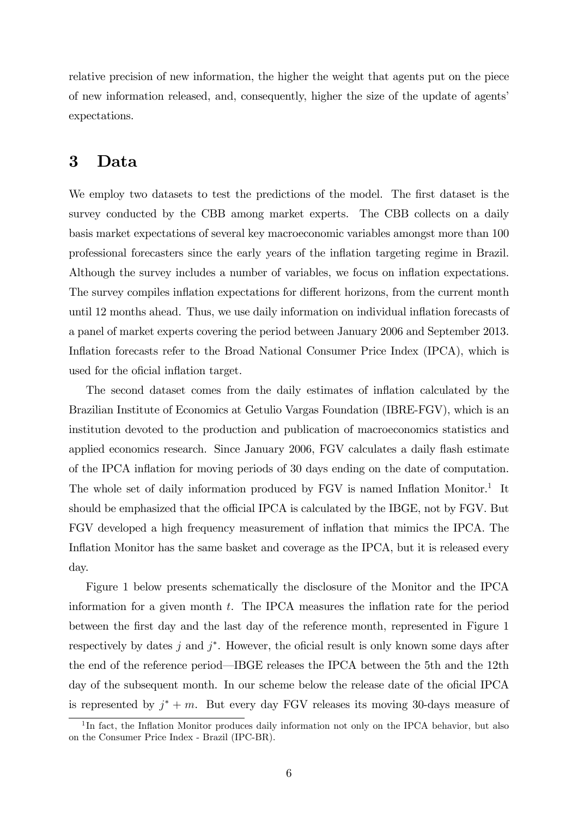relative precision of new information, the higher the weight that agents put on the piece of new information released, and, consequently, higher the size of the update of agentsí expectations.

### 3 Data

We employ two datasets to test the predictions of the model. The first dataset is the survey conducted by the CBB among market experts. The CBB collects on a daily basis market expectations of several key macroeconomic variables amongst more than 100 professional forecasters since the early years of the ináation targeting regime in Brazil. Although the survey includes a number of variables, we focus on inflation expectations. The survey compiles inflation expectations for different horizons, from the current month until 12 months ahead. Thus, we use daily information on individual inflation forecasts of a panel of market experts covering the period between January 2006 and September 2013. Inflation forecasts refer to the Broad National Consumer Price Index (IPCA), which is used for the oficial inflation target.

The second dataset comes from the daily estimates of inflation calculated by the Brazilian Institute of Economics at Getulio Vargas Foundation (IBRE-FGV), which is an institution devoted to the production and publication of macroeconomics statistics and applied economics research. Since January 2006, FGV calculates a daily flash estimate of the IPCA ináation for moving periods of 30 days ending on the date of computation. The whole set of daily information produced by  $FGV$  is named Inflation Monitor.<sup>1</sup> It should be emphasized that the official IPCA is calculated by the IBGE, not by FGV. But FGV developed a high frequency measurement of ináation that mimics the IPCA. The Inflation Monitor has the same basket and coverage as the IPCA, but it is released every day.

Figure 1 below presents schematically the disclosure of the Monitor and the IPCA information for a given month  $t$ . The IPCA measures the inflation rate for the period between the Örst day and the last day of the reference month, represented in Figure 1 respectively by dates  $j$  and  $j^*$ . However, the oficial result is only known some days after the end of the reference period—IBGE releases the IPCA between the 5th and the 12th day of the subsequent month. In our scheme below the release date of the oficial IPCA is represented by  $j^* + m$ . But every day FGV releases its moving 30-days measure of

<sup>&</sup>lt;sup>1</sup>In fact, the Inflation Monitor produces daily information not only on the IPCA behavior, but also on the Consumer Price Index - Brazil (IPC-BR).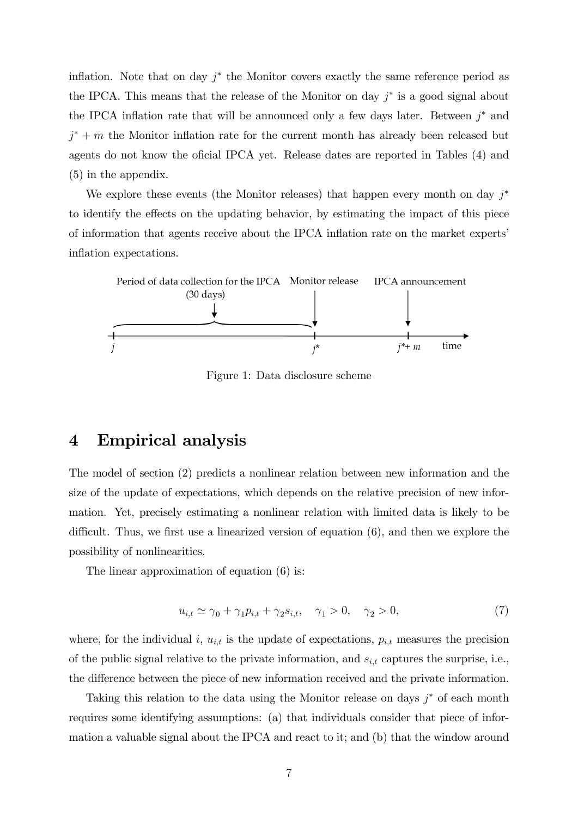inflation. Note that on day  $j^*$  the Monitor covers exactly the same reference period as the IPCA. This means that the release of the Monitor on day  $j^*$  is a good signal about the IPCA inflation rate that will be announced only a few days later. Between  $j^*$  and  $j^* + m$  the Monitor inflation rate for the current month has already been released but agents do not know the oficial IPCA yet. Release dates are reported in Tables (4) and (5) in the appendix.

We explore these events (the Monitor releases) that happen every month on day  $j^*$ to identify the effects on the updating behavior, by estimating the impact of this piece of information that agents receive about the IPCA ináation rate on the market expertsí inflation expectations.



Figure 1: Data disclosure scheme

### 4 Empirical analysis

The model of section (2) predicts a nonlinear relation between new information and the size of the update of expectations, which depends on the relative precision of new information. Yet, precisely estimating a nonlinear relation with limited data is likely to be difficult. Thus, we first use a linearized version of equation  $(6)$ , and then we explore the possibility of nonlinearities.

The linear approximation of equation (6) is:

$$
u_{i,t} \simeq \gamma_0 + \gamma_1 p_{i,t} + \gamma_2 s_{i,t}, \quad \gamma_1 > 0, \quad \gamma_2 > 0,
$$
\n
$$
(7)
$$

where, for the individual i,  $u_{i,t}$  is the update of expectations,  $p_{i,t}$  measures the precision of the public signal relative to the private information, and  $s_{i,t}$  captures the surprise, i.e., the difference between the piece of new information received and the private information.

Taking this relation to the data using the Monitor release on days  $j^*$  of each month requires some identifying assumptions: (a) that individuals consider that piece of information a valuable signal about the IPCA and react to it; and (b) that the window around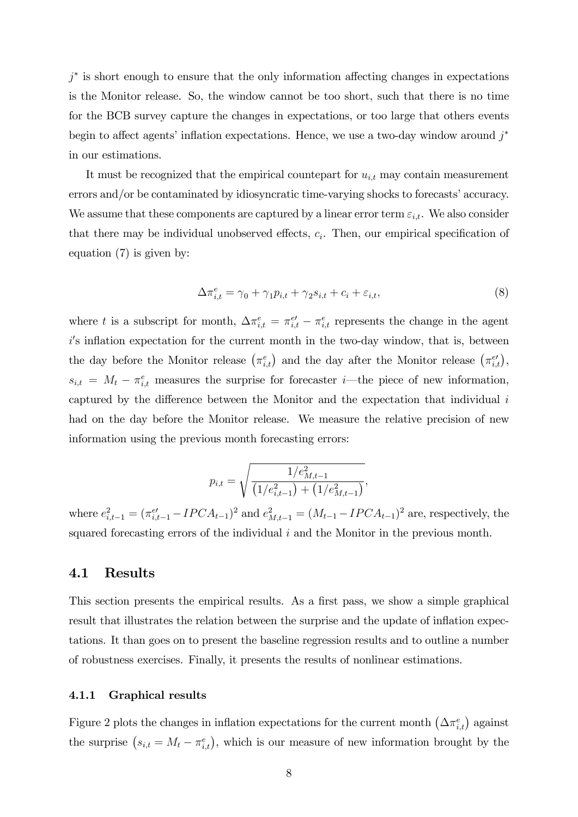$j^*$  is short enough to ensure that the only information affecting changes in expectations is the Monitor release. So, the window cannot be too short, such that there is no time for the BCB survey capture the changes in expectations, or too large that others events begin to affect agents' inflation expectations. Hence, we use a two-day window around  $j^*$ in our estimations.

It must be recognized that the empirical countepart for  $u_{i,t}$  may contain measurement errors and/or be contaminated by idiosyncratic time-varying shocks to forecasts' accuracy. We assume that these components are captured by a linear error term  $\varepsilon_{i,t}$ . We also consider that there may be individual unobserved effects,  $c_i$ . Then, our empirical specification of equation (7) is given by:

$$
\Delta \pi_{i,t}^e = \gamma_0 + \gamma_1 p_{i,t} + \gamma_2 s_{i,t} + c_i + \varepsilon_{i,t},\tag{8}
$$

where t is a subscript for month,  $\Delta \pi_{i,t}^e = \pi_{i,t}^{e'} - \pi_{i,t}^e$  represents the change in the agent i's inflation expectation for the current month in the two-day window, that is, between the day before the Monitor release  $(\pi_{i,t}^e)$  and the day after the Monitor release  $(\pi_{i,t}^{e\prime})$ ,  $s_{i,t} = M_t - \pi_{i,t}^e$  measures the surprise for forecaster *i*—the piece of new information, captured by the difference between the Monitor and the expectation that individual  $i$ had on the day before the Monitor release. We measure the relative precision of new information using the previous month forecasting errors:

$$
p_{i,t} = \sqrt{\frac{1/e_{M,t-1}^2}{\left(1/e_{i,t-1}^2\right) + \left(1/e_{M,t-1}^2\right)}},
$$

where  $e_{i,t-1}^2 = (\pi_{i,t-1}^{e'} - IPCA_{t-1})^2$  and  $e_{M,t-1}^2 = (M_{t-1} - IPCA_{t-1})^2$  are, respectively, the squared forecasting errors of the individual i and the Monitor in the previous month.

### 4.1 Results

This section presents the empirical results. As a first pass, we show a simple graphical result that illustrates the relation between the surprise and the update of inflation expectations. It than goes on to present the baseline regression results and to outline a number of robustness exercises. Finally, it presents the results of nonlinear estimations.

#### 4.1.1 Graphical results

Figure 2 plots the changes in inflation expectations for the current month  $(\Delta \pi_{i,t}^e)$  against the surprise  $(s_{i,t} = M_t - \pi_{i,t}^e)$ , which is our measure of new information brought by the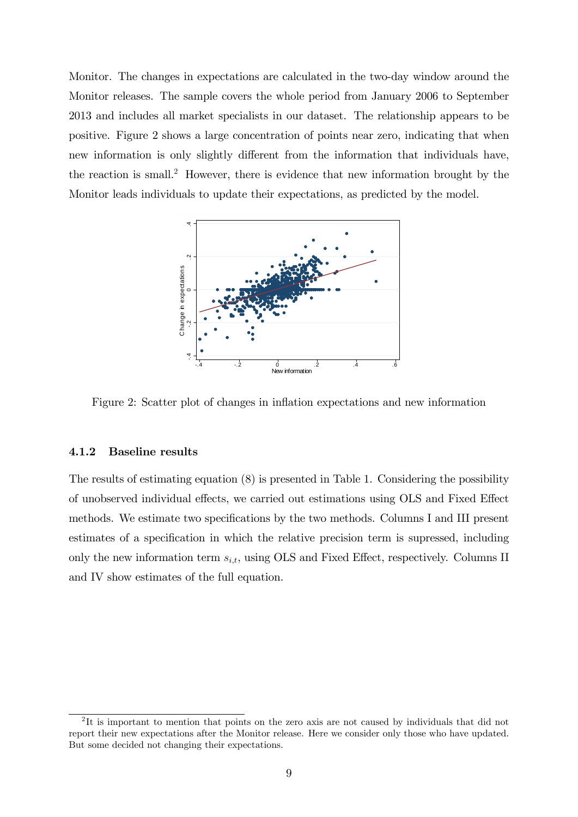Monitor. The changes in expectations are calculated in the two-day window around the Monitor releases. The sample covers the whole period from January 2006 to September 2013 and includes all market specialists in our dataset. The relationship appears to be positive. Figure 2 shows a large concentration of points near zero, indicating that when new information is only slightly different from the information that individuals have, the reaction is small.<sup>2</sup> However, there is evidence that new information brought by the Monitor leads individuals to update their expectations, as predicted by the model.



Figure 2: Scatter plot of changes in ináation expectations and new information

#### 4.1.2 Baseline results

The results of estimating equation (8) is presented in Table 1. Considering the possibility of unobserved individual effects, we carried out estimations using OLS and Fixed Effect methods. We estimate two specifications by the two methods. Columns I and III present estimates of a specification in which the relative precision term is supressed, including only the new information term  $s_{i,t}$ , using OLS and Fixed Effect, respectively. Columns II and IV show estimates of the full equation.

<sup>&</sup>lt;sup>2</sup>It is important to mention that points on the zero axis are not caused by individuals that did not report their new expectations after the Monitor release. Here we consider only those who have updated. But some decided not changing their expectations.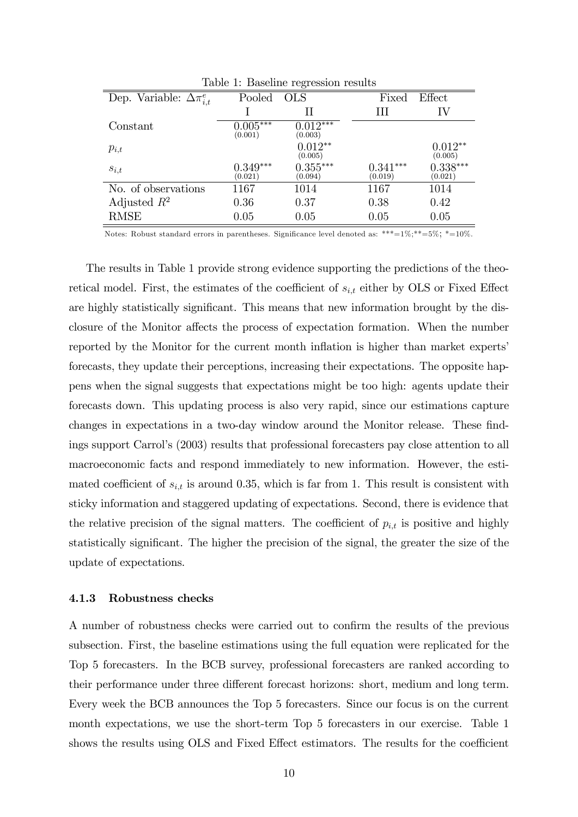|                                     |                       | Lable 1. Dasemie regression results |                       |                       |
|-------------------------------------|-----------------------|-------------------------------------|-----------------------|-----------------------|
| Dep. Variable: $\Delta \pi_{i,t}^e$ | Pooled                | <b>OLS</b>                          | Fixed                 | Effect                |
|                                     |                       | Н                                   | Ш                     | IV                    |
| Constant                            | $0.005***$<br>(0.001) | $0.012^{***}$<br>(0.003)            |                       |                       |
| $p_{i,t}$                           |                       | $0.012**$<br>(0.005)                |                       | $0.012**$<br>(0.005)  |
| $s_{i,t}$                           | $0.349***$<br>(0.021) | $0.355***$<br>(0.094)               | $0.341***$<br>(0.019) | $0.338***$<br>(0.021) |
| No. of observations                 | 1167                  | 1014                                | 1167                  | 1014                  |
| Adjusted $R^2$                      | 0.36                  | 0.37                                | 0.38                  | 0.42                  |
| <b>RMSE</b>                         | 0.05                  | 0.05                                | 0.05                  | 0.05                  |

Table 1: Baseline regression results

Notes: Robust standard errors in parentheses. Significance level denoted as: \*\*\*= $1\%,$ \*\*= $5\%,$ \*= $10\%$ .

The results in Table 1 provide strong evidence supporting the predictions of the theoretical model. First, the estimates of the coefficient of  $s_{i,t}$  either by OLS or Fixed Effect are highly statistically significant. This means that new information brought by the disclosure of the Monitor affects the process of expectation formation. When the number reported by the Monitor for the current month inflation is higher than market experts<sup>7</sup> forecasts, they update their perceptions, increasing their expectations. The opposite happens when the signal suggests that expectations might be too high: agents update their forecasts down. This updating process is also very rapid, since our estimations capture changes in expectations in a two-day window around the Monitor release. These findings support Carrol's (2003) results that professional forecasters pay close attention to all macroeconomic facts and respond immediately to new information. However, the estimated coefficient of  $s_{i,t}$  is around 0.35, which is far from 1. This result is consistent with sticky information and staggered updating of expectations. Second, there is evidence that the relative precision of the signal matters. The coefficient of  $p_{i,t}$  is positive and highly statistically significant. The higher the precision of the signal, the greater the size of the update of expectations.

#### 4.1.3 Robustness checks

A number of robustness checks were carried out to confirm the results of the previous subsection. First, the baseline estimations using the full equation were replicated for the Top 5 forecasters. In the BCB survey, professional forecasters are ranked according to their performance under three different forecast horizons: short, medium and long term. Every week the BCB announces the Top 5 forecasters. Since our focus is on the current month expectations, we use the short-term Top 5 forecasters in our exercise. Table 1 shows the results using OLS and Fixed Effect estimators. The results for the coefficient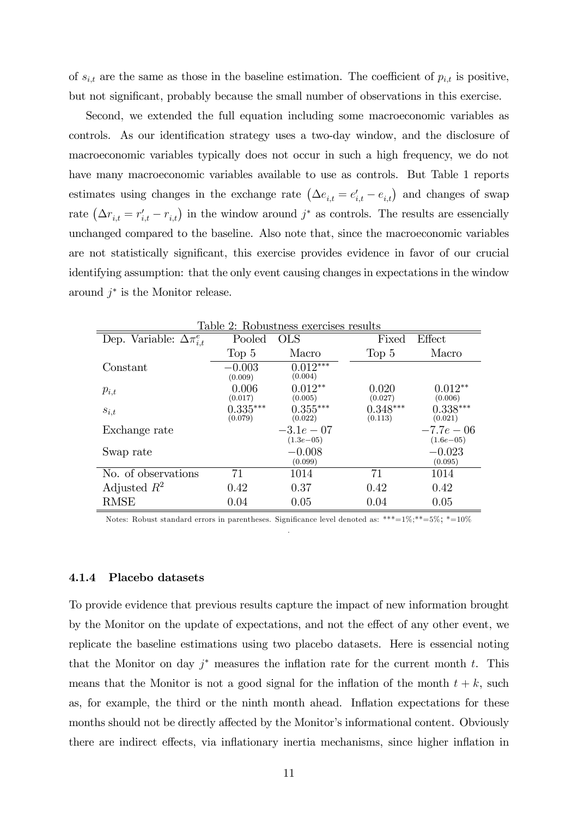of  $s_{i,t}$  are the same as those in the baseline estimation. The coefficient of  $p_{i,t}$  is positive, but not significant, probably because the small number of observations in this exercise.

Second, we extended the full equation including some macroeconomic variables as controls. As our identification strategy uses a two-day window, and the disclosure of macroeconomic variables typically does not occur in such a high frequency, we do not have many macroeconomic variables available to use as controls. But Table 1 reports estimates using changes in the exchange rate  $(\Delta e_{i,t} = e'_{i,t} - e_{i,t})$  and changes of swap rate  $(\Delta r_{i,t} = r'_{i,t} - r_{i,t})$  in the window around  $j^*$  as controls. The results are essencially unchanged compared to the baseline. Also note that, since the macroeconomic variables are not statistically significant, this exercise provides evidence in favor of our crucial identifying assumption: that the only event causing changes in expectations in the window around  $j^*$  is the Monitor release.

|                                     |                       | Table 2: Robustness exercises results |                       |                              |
|-------------------------------------|-----------------------|---------------------------------------|-----------------------|------------------------------|
| Dep. Variable: $\Delta \pi_{i,t}^e$ | Pooled                | <b>OLS</b>                            | Fixed                 | Effect                       |
|                                     | Top <sub>5</sub>      | Macro                                 | Top 5                 | Macro                        |
| Constant                            | $-0.003$<br>(0.009)   | $0.012***$<br>(0.004)                 |                       |                              |
| $p_{i,t}$                           | 0.006<br>(0.017)      | $0.012**$<br>(0.005)                  | 0.020<br>(0.027)      | $0.012**$<br>(0.006)         |
| $s_{i,t}$                           | $0.335***$<br>(0.079) | $0.355***$<br>(0.022)                 | $0.348***$<br>(0.113) | $0.338***$<br>(0.021)        |
| Exchange rate                       |                       | $-3.1e-07$<br>$(1.3e - 0.5)$          |                       | $-7.7e-06$<br>$(1.6e - 0.5)$ |
| Swap rate                           |                       | $-0.008$<br>(0.099)                   |                       | $-0.023$<br>(0.095)          |
| No. of observations                 | 71                    | 1014                                  | 71                    | 1014                         |
| Adjusted $R^2$                      | 0.42                  | 0.37                                  | 0.42                  | 0.42                         |
| RMSE                                | 0.04                  | 0.05                                  | 0.04                  | 0.05                         |

 $TL_1L_2$   $\Omega$ :  $DL_1$ 

Notes: Robust standard errors in parentheses. Significance level denoted as: \*\*\*= $1\%,$ \*\*= $5\%$ ; \*= $10\%$ .

#### 4.1.4 Placebo datasets

To provide evidence that previous results capture the impact of new information brought by the Monitor on the update of expectations, and not the effect of any other event, we replicate the baseline estimations using two placebo datasets. Here is essencial noting that the Monitor on day  $j^*$  measures the inflation rate for the current month t. This means that the Monitor is not a good signal for the inflation of the month  $t + k$ , such as, for example, the third or the ninth month ahead. Inflation expectations for these months should not be directly affected by the Monitor's informational content. Obviously there are indirect effects, via inflationary inertia mechanisms, since higher inflation in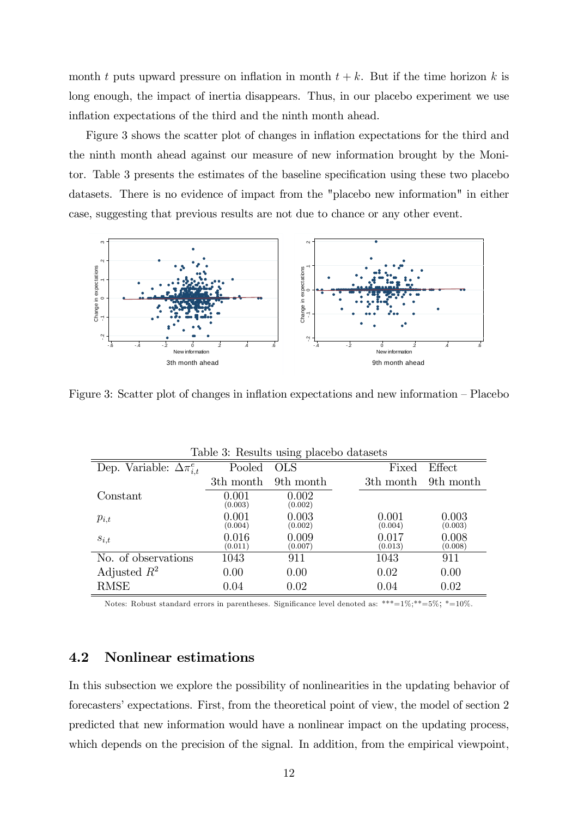month t puts upward pressure on inflation in month  $t + k$ . But if the time horizon k is long enough, the impact of inertia disappears. Thus, in our placebo experiment we use inflation expectations of the third and the ninth month ahead.

Figure 3 shows the scatter plot of changes in inflation expectations for the third and the ninth month ahead against our measure of new information brought by the Monitor. Table 3 presents the estimates of the baseline specification using these two placebo datasets. There is no evidence of impact from the "placebo new information" in either case, suggesting that previous results are not due to chance or any other event.



Figure 3: Scatter plot of changes in inflation expectations and new information  $-$  Placebo

|                                     |                  | Table 3: Results using placebo datasets |                  |                  |
|-------------------------------------|------------------|-----------------------------------------|------------------|------------------|
| Dep. Variable: $\Delta \pi_{i,t}^e$ | Pooled           | <b>OLS</b>                              | Fixed            | Effect           |
|                                     | 3th month        | 9th month                               | 3th month        | 9th month        |
| Constant                            | 0.001<br>(0.003) | 0.002<br>(0.002)                        |                  |                  |
| $p_{i,t}$                           | 0.001<br>(0.004) | 0.003<br>(0.002)                        | 0.001<br>(0.004) | 0.003<br>(0.003) |
| $s_{i,t}$                           | 0.016<br>(0.011) | 0.009<br>(0.007)                        | 0.017<br>(0.013) | 0.008<br>(0.008) |
| No. of observations                 | 1043             | 911                                     | 1043             | 911              |
| Adjusted $R^2$                      | 0.00             | 0.00                                    | 0.02             | 0.00             |
| <b>RMSE</b>                         | 0.04             | 0.02                                    | 0.04             | 0.02             |

Notes: Robust standard errors in parentheses. Significance level denoted as: \*\*\*=1%;\*\*=5%; \*=10%.

### 4.2 Nonlinear estimations

In this subsection we explore the possibility of nonlinearities in the updating behavior of forecasters' expectations. First, from the theoretical point of view, the model of section 2 predicted that new information would have a nonlinear impact on the updating process, which depends on the precision of the signal. In addition, from the empirical viewpoint,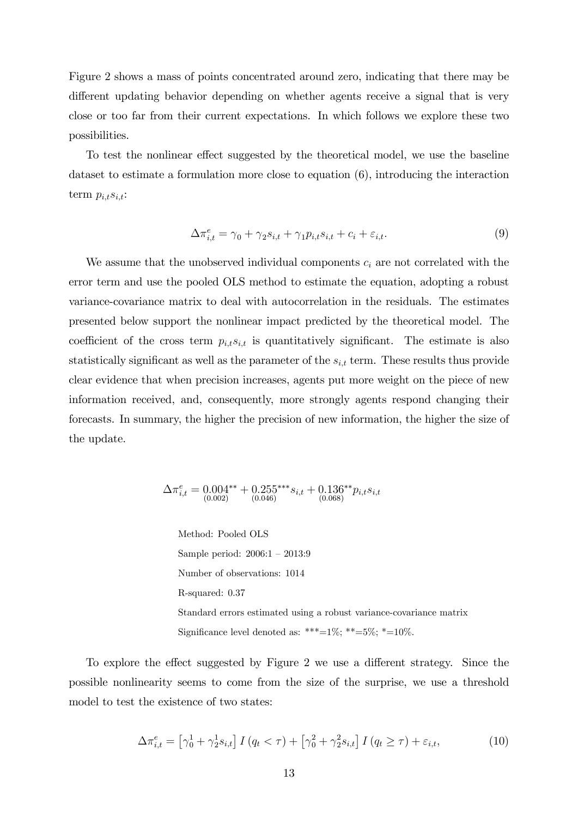Figure 2 shows a mass of points concentrated around zero, indicating that there may be different updating behavior depending on whether agents receive a signal that is very close or too far from their current expectations. In which follows we explore these two possibilities.

To test the nonlinear effect suggested by the theoretical model, we use the baseline dataset to estimate a formulation more close to equation (6), introducing the interaction term  $p_{i,t}s_{i,t}$ :

$$
\Delta \pi_{i,t}^e = \gamma_0 + \gamma_2 s_{i,t} + \gamma_1 p_{i,t} s_{i,t} + c_i + \varepsilon_{i,t}.
$$
\n(9)

We assume that the unobserved individual components  $c_i$  are not correlated with the error term and use the pooled OLS method to estimate the equation, adopting a robust variance-covariance matrix to deal with autocorrelation in the residuals. The estimates presented below support the nonlinear impact predicted by the theoretical model. The coefficient of the cross term  $p_{i,t} s_{i,t}$  is quantitatively significant. The estimate is also statistically significant as well as the parameter of the  $s_{i,t}$  term. These results thus provide clear evidence that when precision increases, agents put more weight on the piece of new information received, and, consequently, more strongly agents respond changing their forecasts. In summary, the higher the precision of new information, the higher the size of the update.

$$
\Delta \pi_{i,t}^e = 0.004^{**} + 0.255^{***} s_{i,t} + 0.136^{**} p_{i,t} s_{i,t} \n_{(0.002)} (0.046)
$$

Method: Pooled OLS Sample period:  $2006:1 - 2013:9$ Number of observations: 1014 R-squared: 0.37 Standard errors estimated using a robust variance-covariance matrix Significance level denoted as: \*\*\*= $1\%$ ; \*\*= $5\%$ ; \*= $10\%$ .

To explore the effect suggested by Figure 2 we use a different strategy. Since the possible nonlinearity seems to come from the size of the surprise, we use a threshold model to test the existence of two states:

$$
\Delta \pi_{i,t}^e = \left[ \gamma_0^1 + \gamma_2^1 s_{i,t} \right] I \left( q_t < \tau \right) + \left[ \gamma_0^2 + \gamma_2^2 s_{i,t} \right] I \left( q_t \ge \tau \right) + \varepsilon_{i,t},\tag{10}
$$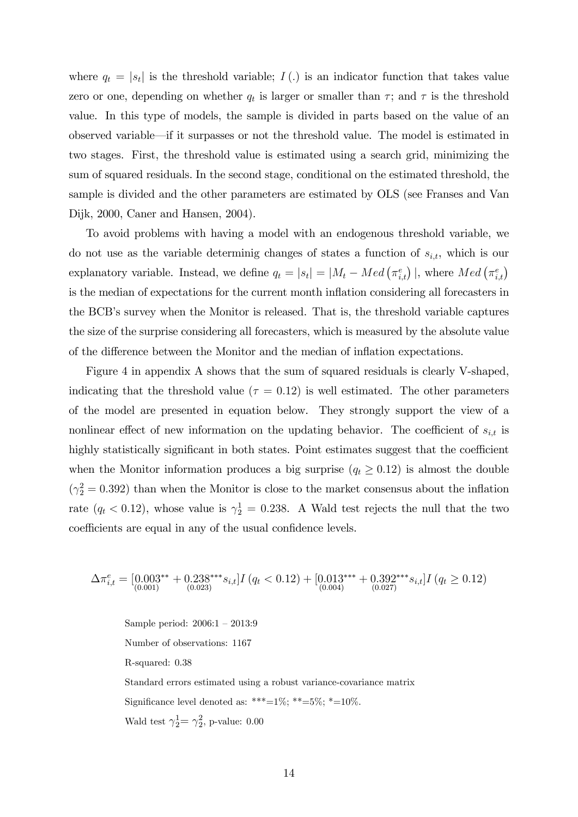where  $q_t = |s_t|$  is the threshold variable;  $I(.)$  is an indicator function that takes value zero or one, depending on whether  $q_t$  is larger or smaller than  $\tau$ ; and  $\tau$  is the threshold value. In this type of models, the sample is divided in parts based on the value of an observed variable—if it surpasses or not the threshold value. The model is estimated in two stages. First, the threshold value is estimated using a search grid, minimizing the sum of squared residuals. In the second stage, conditional on the estimated threshold, the sample is divided and the other parameters are estimated by OLS (see Franses and Van Dijk, 2000, Caner and Hansen, 2004).

To avoid problems with having a model with an endogenous threshold variable, we do not use as the variable determinig changes of states a function of  $s_{i,t}$ , which is our explanatory variable. Instead, we define  $q_t = |s_t| = |M_t - Med(r_{i,t}^e)|$ , where  $Med(r_{i,t}^e)$ is the median of expectations for the current month inflation considering all forecasters in the BCB's survey when the Monitor is released. That is, the threshold variable captures the size of the surprise considering all forecasters, which is measured by the absolute value of the difference between the Monitor and the median of inflation expectations.

Figure 4 in appendix A shows that the sum of squared residuals is clearly V-shaped, indicating that the threshold value ( $\tau = 0.12$ ) is well estimated. The other parameters of the model are presented in equation below. They strongly support the view of a nonlinear effect of new information on the updating behavior. The coefficient of  $s_{i,t}$  is highly statistically significant in both states. Point estimates suggest that the coefficient when the Monitor information produces a big surprise  $(q_t \geq 0.12)$  is almost the double  $(\gamma_2^2 = 0.392)$  than when the Monitor is close to the market consensus about the inflation rate  $(q_t < 0.12)$ , whose value is  $\gamma_2^1 = 0.238$ . A Wald test rejects the null that the two coefficients are equal in any of the usual confidence levels.

$$
\Delta \pi_{i,t}^e = [0.003^{**} + 0.238^{***} s_{i,t}] I (q_t < 0.12) + [0.013^{***} + 0.392^{***} s_{i,t}] I (q_t \ge 0.12)
$$
  
<sub>(0.001)</sub> (0.027)

Sample period:  $2006:1 - 2013:9$ Number of observations: 1167 R-squared: 0.38 Standard errors estimated using a robust variance-covariance matrix Significance level denoted as: \*\*\*=1%; \*\*=5%; \*=10%. Wald test  $\gamma_2^1 = \gamma_2^2$ , p-value: 0.00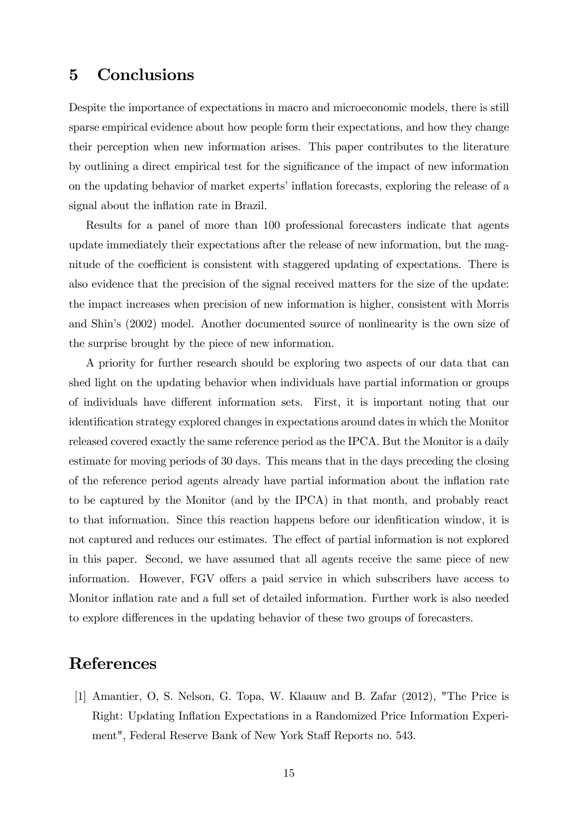## 5 Conclusions

Despite the importance of expectations in macro and microeconomic models, there is still sparse empirical evidence about how people form their expectations, and how they change their perception when new information arises. This paper contributes to the literature by outlining a direct empirical test for the significance of the impact of new information on the updating behavior of market experts' inflation forecasts, exploring the release of a signal about the inflation rate in Brazil.

Results for a panel of more than 100 professional forecasters indicate that agents update immediately their expectations after the release of new information, but the magnitude of the coefficient is consistent with staggered updating of expectations. There is also evidence that the precision of the signal received matters for the size of the update: the impact increases when precision of new information is higher, consistent with Morris and Shinís (2002) model. Another documented source of nonlinearity is the own size of the surprise brought by the piece of new information.

A priority for further research should be exploring two aspects of our data that can shed light on the updating behavior when individuals have partial information or groups of individuals have different information sets. First, it is important noting that our identification strategy explored changes in expectations around dates in which the Monitor released covered exactly the same reference period as the IPCA. But the Monitor is a daily estimate for moving periods of 30 days. This means that in the days preceding the closing of the reference period agents already have partial information about the inflation rate to be captured by the Monitor (and by the IPCA) in that month, and probably react to that information. Since this reaction happens before our idenfitication window, it is not captured and reduces our estimates. The effect of partial information is not explored in this paper. Second, we have assumed that all agents receive the same piece of new information. However, FGV offers a paid service in which subscribers have access to Monitor inflation rate and a full set of detailed information. Further work is also needed to explore differences in the updating behavior of these two groups of forecasters.

### References

[1] Amantier, O, S. Nelson, G. Topa, W. Klaauw and B. Zafar (2012), "The Price is Right: Updating Ináation Expectations in a Randomized Price Information Experiment", Federal Reserve Bank of New York Staff Reports no. 543.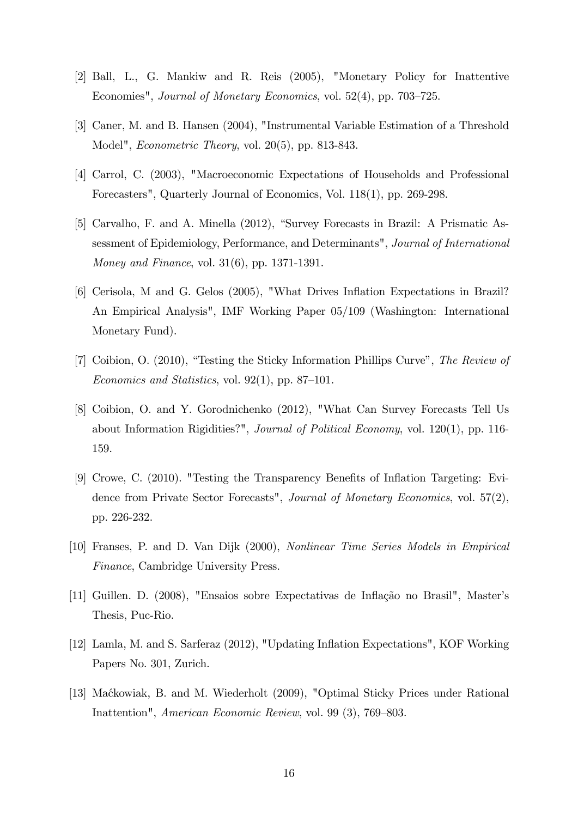- [2] Ball, L., G. Mankiw and R. Reis (2005), "Monetary Policy for Inattentive Economies", *Journal of Monetary Economics*, vol.  $52(4)$ , pp.  $703-725$ .
- [3] Caner, M. and B. Hansen (2004), "Instrumental Variable Estimation of a Threshold Model", Econometric Theory, vol. 20(5), pp. 813-843.
- [4] Carrol, C. (2003), "Macroeconomic Expectations of Households and Professional Forecasters", Quarterly Journal of Economics, Vol. 118(1), pp. 269-298.
- [5] Carvalho, F. and A. Minella (2012), "Survey Forecasts in Brazil: A Prismatic Assessment of Epidemiology, Performance, and Determinants", Journal of International Money and Finance, vol. 31(6), pp. 1371-1391.
- [6] Cerisola, M and G. Gelos (2005), "What Drives Inflation Expectations in Brazil? An Empirical Analysis", IMF Working Paper 05/109 (Washington: International Monetary Fund).
- [7] Coibion, O.  $(2010)$ , "Testing the Sticky Information Phillips Curve", The Review of Economics and Statistics, vol. 92(1), pp. 87–101.
- [8] Coibion, O. and Y. Gorodnichenko (2012), "What Can Survey Forecasts Tell Us about Information Rigidities?", Journal of Political Economy, vol. 120(1), pp. 116- 159.
- [9] Crowe, C.  $(2010)$ . "Testing the Transparency Benefits of Inflation Targeting: Evidence from Private Sector Forecasts", Journal of Monetary Economics, vol. 57(2), pp. 226-232.
- [10] Franses, P. and D. Van Dijk (2000), Nonlinear Time Series Models in Empirical Finance, Cambridge University Press.
- [11] Guillen. D. (2008), "Ensaios sobre Expectativas de Inflação no Brasil", Master's Thesis, Puc-Rio.
- [12] Lamla, M. and S. Sarferaz (2012), "Updating Ináation Expectations", KOF Working Papers No. 301, Zurich.
- [13] Maćkowiak, B. and M. Wiederholt (2009), "Optimal Sticky Prices under Rational Inattention", *American Economic Review*, vol. 99 (3), 769–803.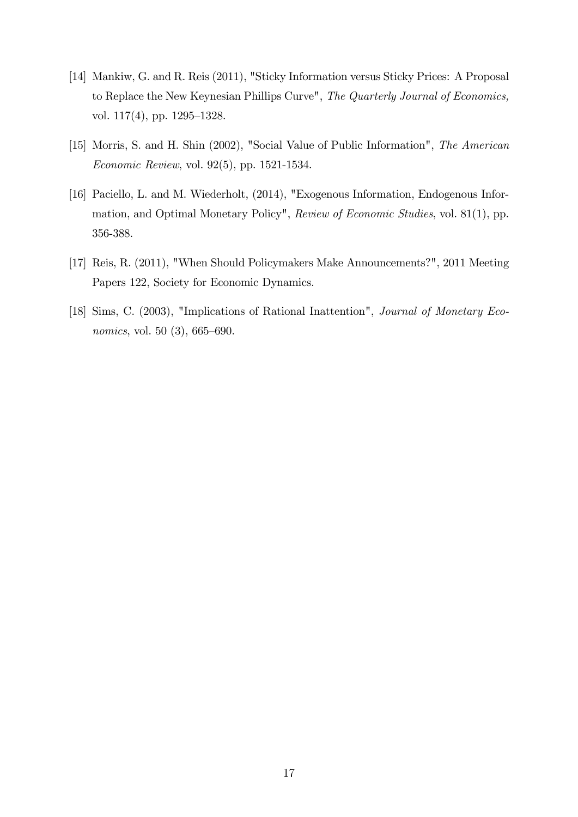- [14] Mankiw, G. and R. Reis (2011), "Sticky Information versus Sticky Prices: A Proposal to Replace the New Keynesian Phillips Curve", The Quarterly Journal of Economics, vol.  $117(4)$ , pp.  $1295-1328$ .
- [15] Morris, S. and H. Shin (2002), "Social Value of Public Information", The American Economic Review, vol. 92(5), pp. 1521-1534.
- [16] Paciello, L. and M. Wiederholt, (2014), "Exogenous Information, Endogenous Information, and Optimal Monetary Policy", Review of Economic Studies, vol. 81(1), pp. 356-388.
- [17] Reis, R. (2011), "When Should Policymakers Make Announcements?", 2011 Meeting Papers 122, Society for Economic Dynamics.
- [18] Sims, C. (2003), "Implications of Rational Inattention", Journal of Monetary Economics, vol. 50 $(3)$ , 665–690.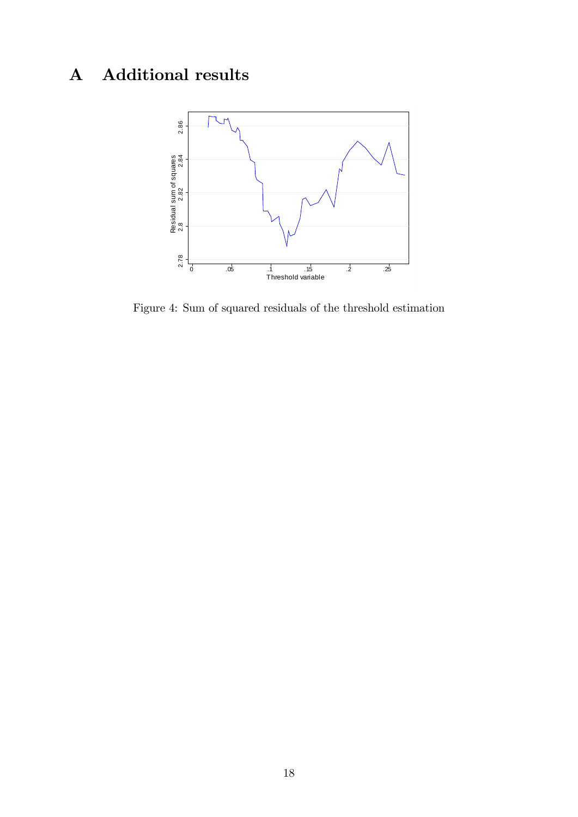# A Additional results



Figure 4: Sum of squared residuals of the threshold estimation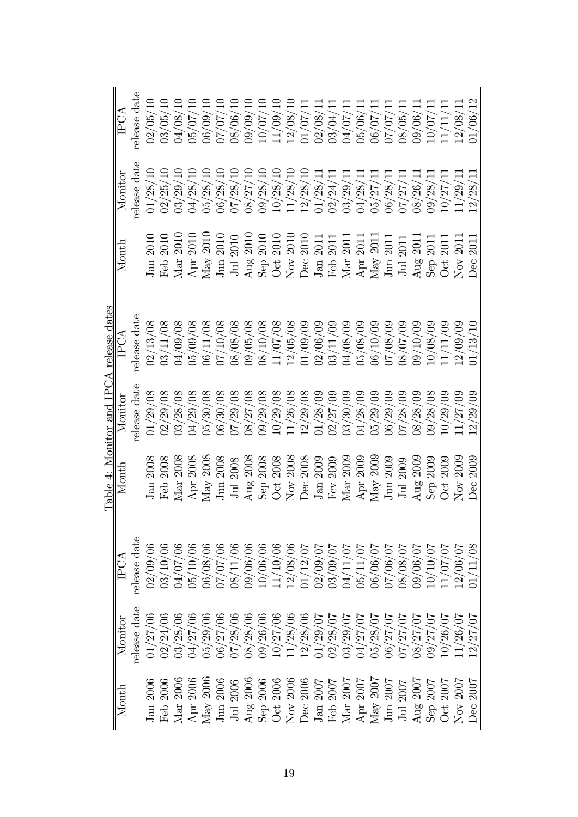|                                                                                                                                                                   |                                                                                                                                   |                                  |                                                           |                                          | Table 4: Monitor and IPCA release dates |                                                                         |              |              |
|-------------------------------------------------------------------------------------------------------------------------------------------------------------------|-----------------------------------------------------------------------------------------------------------------------------------|----------------------------------|-----------------------------------------------------------|------------------------------------------|-----------------------------------------|-------------------------------------------------------------------------|--------------|--------------|
| $M$ ont $h$                                                                                                                                                       | $M$ onitor                                                                                                                        | IPCA                             | Month                                                     | Monitor                                  | IPCA                                    | Month                                                                   | Monitor      | IPCA         |
|                                                                                                                                                                   | release date                                                                                                                      | release date                     |                                                           | release date                             | release date                            |                                                                         | release date | release date |
| <b>2006</b><br>Jan                                                                                                                                                | 01/27/                                                                                                                            | 02/09/00                         | 2008<br>Jan                                               | 01/29/08                                 | 02/13/08                                | 2010<br>Jan                                                             | 01/28/       | 02/05/       |
| 2006<br>Feb                                                                                                                                                       | 02/24/06                                                                                                                          | 03/10/06                         | Feb 2008                                                  | 02/29/08                                 | 03/11/08                                | Feb 2010                                                                | 02/25/10     | 03/05/10     |
| 2006<br>$\rm{Mar}$                                                                                                                                                | 03/28/                                                                                                                            | 04/07/                           | $\mathrm{Mar}~2008$                                       | 03/28/08                                 | 04/09/08                                | Mar 2010                                                                | 03/29/       | 04/08/       |
|                                                                                                                                                                   | 04/27/                                                                                                                            | 05/10/                           | Apr $2008$                                                | 04/29/08                                 | 05/09/08                                | 2010<br>Apr                                                             | 04/28/       | 05/07/       |
| $\frac{\text{Apr } 2006}{\text{May } 2006}$                                                                                                                       | 0.62/25/00                                                                                                                        | 06/08/00                         | ${\rm May}~2008$                                          | 05/30/08                                 | 06/11/08                                | May 2010                                                                | 05/28/10     | 06/09/10     |
| 2006<br>$\rm{Jun}$ :                                                                                                                                              | 06/27/06                                                                                                                          | 0/70/7                           | $_{\text{Jun}}$ $2008$                                    | 06/30/08                                 | /10/08<br>(20)                          | $_{\text{Jun}}$ 2010                                                    | 06/28/10     | 07/07/10     |
|                                                                                                                                                                   | 07/28/06                                                                                                                          | $\langle 11 \rangle$<br>$\aleph$ | 2008<br>Jul                                               | 07/29/08                                 | 08/08/08                                | J <sub>ul</sub> 2010                                                    | 07/28/10     | 08/06/10     |
| 2006                                                                                                                                                              | 08/28/                                                                                                                            | 90/66                            | Aug $2008$                                                | 08/27/08                                 | 09/05/08                                | Aug $2010$                                                              | 08/27/10     | 109/09/10    |
|                                                                                                                                                                   | 09/26/06                                                                                                                          | 0/06/06                          | Sep 2008                                                  | 09/29/08                                 | /10/08<br>$\overline{8}$                | Sep 2010                                                                | 09/28/10     | 10/07/10     |
| 2006<br>$\begin{array}{c} \  \  \, {\rm Ju} \ 2006 \\ \ {\rm Aug} \ 2006 \\ \ {\rm Sep} \ 2006 \\ \  \  {\rm Oct} \ 2006 \end{array}$                             | 10/27/06                                                                                                                          | /10/06                           | Oct 2008                                                  | 10/29/08                                 | 11/07/08                                | $Oct$ $2010$                                                            | 10/28/10     | 11/09/10     |
| <b>2006</b>                                                                                                                                                       |                                                                                                                                   | $\infty$<br>12/08/               | $Nov$ $2008$                                              | 11/26/08                                 |                                         | Nov 2010                                                                | 11/28/       | 12/08/       |
| 2006<br>Nov <sup>3</sup>                                                                                                                                          |                                                                                                                                   | 1/12/07                          | Dec 2008                                                  | $\frac{12/29/08}{01/28/09}$              | $\frac{12/05/08}{01/09/09}$             | Dec 2010                                                                | 12/28/10     | 01/07/1      |
|                                                                                                                                                                   |                                                                                                                                   | 02/09/                           | Jan 2009                                                  |                                          | 02/06/09                                | Jan 2011                                                                | 01/28/11     | 02/08/1      |
|                                                                                                                                                                   |                                                                                                                                   | 03/09/                           | Fev $2009$                                                | $\frac{02}{27/09}$                       | 03/11/09                                | 2011<br>Feb:                                                            | 02/24/       | 03/04/1      |
| $\begin{tabular}{l} Jan 2007 \\ \hline \text{Feb 2007} \\ \text{Mar 2007} \\ \text{Mar 2007} \\ \text{Any 2007} \\ \text{May 2007} \\ \text{J.} \\ \end{tabular}$ | $\begin{array}{c} 11/28/06\\ 12/28/06\\ 01/29/07\\ 02/28/07\\ 03/29/07\\ 03/29/07\\ 04/27/07\\ 05/28/07\\ 05/27/07\\ \end{array}$ | $\overline{5}$<br>04/11          | Mar 2009                                                  |                                          | $60/80/10$                              | Mar 2011                                                                | 03/29/11     | 04/07/1      |
|                                                                                                                                                                   |                                                                                                                                   | 05/11/                           |                                                           | 04/28/09                                 | 05/08/09                                | $\begin{array}{c} \textrm{A\,pr 2011} \\ \textrm{May 2011} \end{array}$ | 04/28/11     | 05/06/1      |
|                                                                                                                                                                   |                                                                                                                                   | 0.06/05                          | $\frac{\text{A}\,\text{pr}}{\text{May}}\frac{2009}{2009}$ | $\frac{05}{29}/09$<br>$\frac{06}{29}/09$ | 06/10/09                                |                                                                         | 05/27/11     | 06/07/1      |
|                                                                                                                                                                   |                                                                                                                                   | $\approx$<br>07/06/              | J <sub>un</sub> 2009                                      |                                          | 07/08/09                                | 2011<br>$_{\text{Jun}}$                                                 | 06/28/       | 07/07/1      |
| Jul 2007                                                                                                                                                          | /27/70                                                                                                                            | 38/08/                           | J <sub>ul</sub> 2009                                      | 07/28/09                                 | 00/10/80                                | J <sub>ul</sub> 2011                                                    | 07/27/11     | 08/05/1      |
|                                                                                                                                                                   | 08/27/                                                                                                                            | 9/06/07                          | Aug $2009$                                                | 08/28/09                                 | 00/10/90                                | Aug 2011                                                                | 08/26/11     | 09/06/1      |
| ${\rm Aug}~2007$ Sep $2007$                                                                                                                                       | 09/27/                                                                                                                            | $\sqrt{07}$<br>10/10/            | Sep 2009                                                  | 09/28/08                                 | 10/08/09                                | $\mathrm{Sep}$ 2011                                                     | 09/28/11     | 10/07/       |
| 2007<br>$\cot$                                                                                                                                                    | $\overline{5}$<br>10/26/                                                                                                          | $\zeta$<br>$\langle 20 \rangle$  | $Oct$ $2009$                                              | 10/29/09                                 | /11/09<br>$\sum$                        | 2011<br>$\overline{\text{C}}$                                           | 10/27/       | 11/11/1      |
| 2007<br>Nov                                                                                                                                                       | 1/26/07                                                                                                                           | 12/06/07                         | $Nov$ $2009$                                              | 11/27/09                                 | 12/09/09                                | <b>2011</b><br>$\overline{N}$                                           | 11/29/11     | 12/08/11     |
| 2007<br>Dec                                                                                                                                                       | 70/<br>12/27/                                                                                                                     | $\frac{8}{0}$                    | <b>2009</b><br>Dec                                        | 12/29/09                                 | 01/13/10                                | <b>2011</b><br>Dec                                                      | 12/28/11     | 01/06/12     |
|                                                                                                                                                                   |                                                                                                                                   |                                  |                                                           |                                          |                                         |                                                                         |              |              |